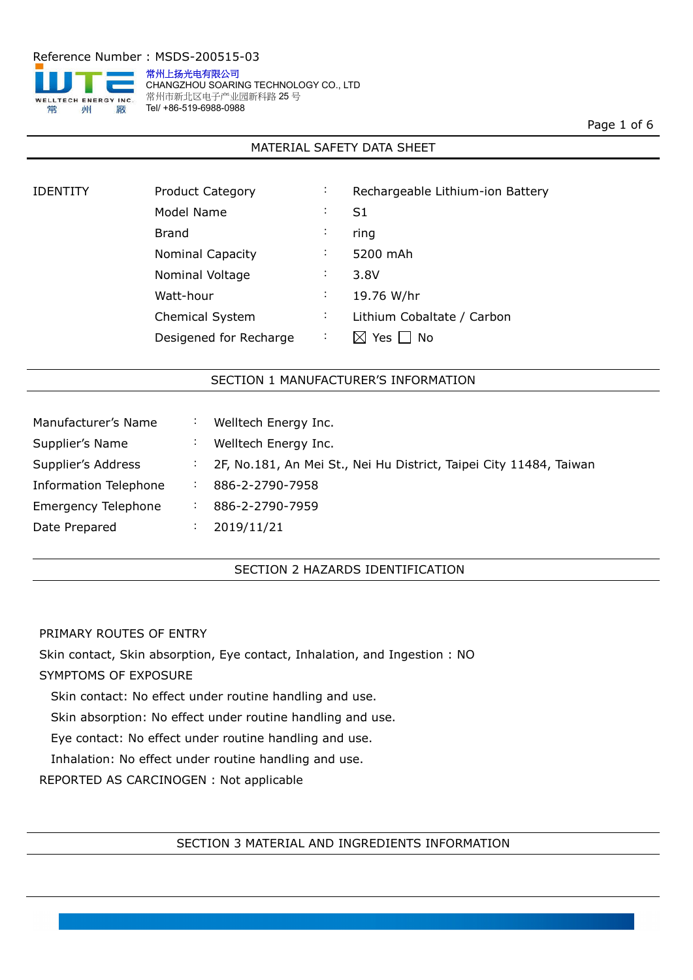

常州上扬光电有限公司 CHANGZHOU SOARING TECHNOLOGY CO., LTD 常州市新北区电子产业园新科路 25号 Tel/ +86-519-6988-0988

Page 1 of 6

## MATERIAL SAFETY DATA SHEET

| IDENTITY | <b>Product Category</b> | ÷              | Rechargeable Lithium-ion Battery |
|----------|-------------------------|----------------|----------------------------------|
|          | Model Name              | $\ddot{\cdot}$ | S1                               |
|          | <b>Brand</b>            | $\ddot{\cdot}$ | ring                             |
|          | <b>Nominal Capacity</b> | $\ddot{\cdot}$ | 5200 mAh                         |
|          | Nominal Voltage         | ÷              | 3.8V                             |
|          | Watt-hour               | ÷              | 19.76 W/hr                       |
|          | <b>Chemical System</b>  | $\ddot{\cdot}$ | Lithium Cobaltate / Carbon       |
|          | Desigened for Recharge  | $\ddot{\cdot}$ | Yes<br>No<br>IXI                 |
|          |                         |                |                                  |

## SECTION 1 MANUFACTURER'S INFORMATION

| Manufacturer's Name        | $\bullet$            | Welltech Energy Inc.                                               |
|----------------------------|----------------------|--------------------------------------------------------------------|
| Supplier's Name            |                      | Welltech Energy Inc.                                               |
| Supplier's Address         | $\ddot{\phantom{a}}$ | 2F, No.181, An Mei St., Nei Hu District, Taipei City 11484, Taiwan |
| Information Telephone      |                      | 886-2-2790-7958                                                    |
| <b>Emergency Telephone</b> | $\cdot$              | 886-2-2790-7959                                                    |
| Date Prepared              | $\cdot$              | 2019/11/21                                                         |

## SECTION 2 HAZARDS IDENTIFICATION

## PRIMARY ROUTES OF ENTRY

Skin contact, Skin absorption, Eye contact, Inhalation, and Ingestion : NO

## SYMPTOMS OF EXPOSURE

Skin contact: No effect under routine handling and use.

Skin absorption: No effect under routine handling and use.

Eye contact: No effect under routine handling and use.

Inhalation: No effect under routine handling and use.

REPORTED AS CARCINOGEN : Not applicable

#### SECTION 3 MATERIAL AND INGREDIENTS INFORMATION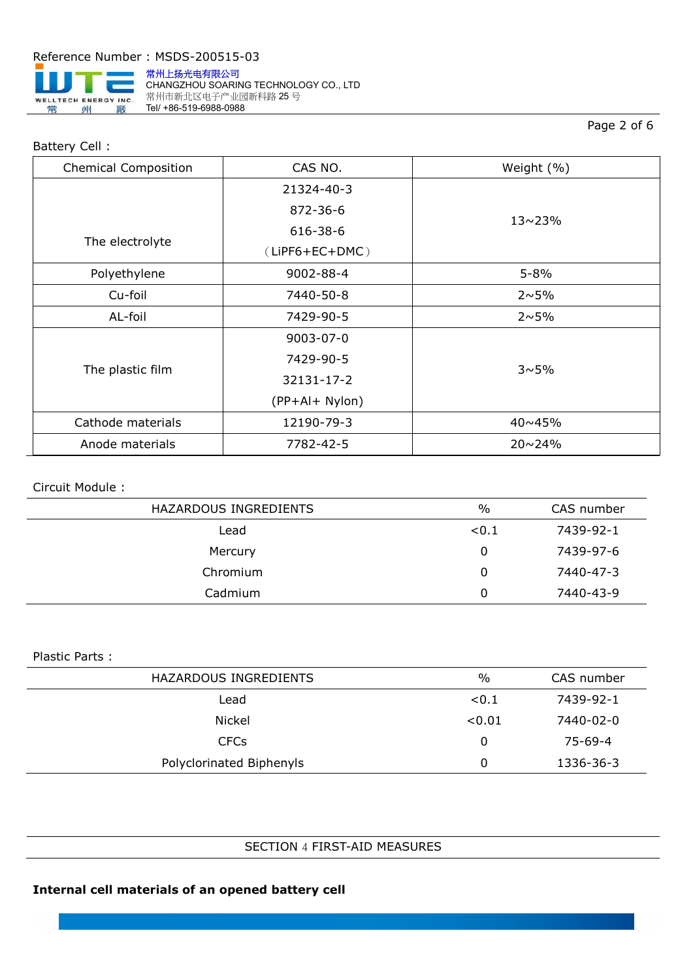

Battery Cell :

常州上扬光电有限公司 CHANGZHOU SOARING TECHNOLOGY CO., LTD **第州市新北区电子产业园新科路 25号** Tel/ +86-519-6988-0988

# Page 2 of 6

| <b>Chemical Composition</b> | CAS NO.          | Weight (%)     |
|-----------------------------|------------------|----------------|
|                             | 21324-40-3       |                |
|                             | 872-36-6         | $13 \sim 23\%$ |
|                             | 616-38-6         |                |
| The electrolyte             | $(LiPF6+EC+DMC)$ |                |
| Polyethylene                | 9002-88-4        | $5 - 8%$       |
| Cu-foil                     | 7440-50-8        | $2 \sim 5\%$   |
| AL-foil                     | 7429-90-5        | $2 \sim 5\%$   |
|                             | 9003-07-0        |                |
| The plastic film            | 7429-90-5        | $3 \sim 5\%$   |
|                             | 32131-17-2       |                |
|                             | (PP+Al+ Nylon)   |                |
| Cathode materials           | 12190-79-3       | 40~45%         |
| Anode materials             | 7782-42-5        | $20 \sim 24\%$ |

### Circuit Module :

| HAZARDOUS INGREDIENTS | $\%$  | CAS number |
|-----------------------|-------|------------|
| Lead                  | < 0.1 | 7439-92-1  |
| Mercury               | 0     | 7439-97-6  |
| Chromium              |       | 7440-47-3  |
| Cadmium               | 0     | 7440-43-9  |

#### Plastic Parts :

| HAZARDOUS INGREDIENTS    | $\%$   | CAS number    |
|--------------------------|--------|---------------|
| Lead                     | < 0.1  | 7439-92-1     |
| Nickel                   | < 0.01 | 7440-02-0     |
| <b>CFCs</b>              |        | $75 - 69 - 4$ |
| Polyclorinated Biphenyls |        | 1336-36-3     |

## SECTION 4 FIRST-AID MEASURES

# **Internal cell materials of an opened battery cell**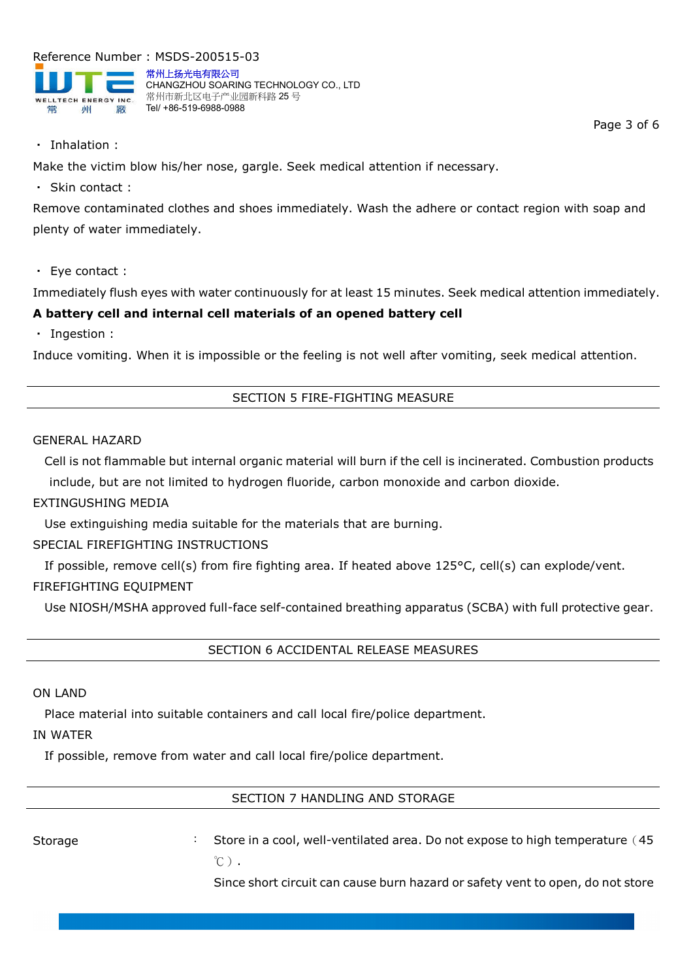

常州上扬光电有限公司 CHANGZHOU SOARING TECHNOLOGY CO., LTD 常州市新北区电子产业园新科路 25 号 Tel/ +86-519-6988-0988

Page 3 of 6

・ Inhalation :

Make the victim blow his/her nose, gargle. Seek medical attention if necessary.

・ Skin contact :

Remove contaminated clothes and shoes immediately. Wash the adhere or contact region with soap and plenty of water immediately.

・ Eye contact :

Immediately flush eyes with water continuously for at least 15 minutes. Seek medical attention immediately.

# **A battery cell and internal cell materials of an opened battery cell**

・ Ingestion :

Induce vomiting. When it is impossible or the feeling is not well after vomiting, seek medical attention.

# SECTION 5 FIRE-FIGHTING MEASURE

#### GENERAL HAZARD

Cell is not flammable but internal organic material will burn if the cell is incinerated. Combustion products include, but are not limited to hydrogen fluoride, carbon monoxide and carbon dioxide.

# EXTINGUSHING MEDIA

Use extinguishing media suitable for the materials that are burning.

# SPECIAL FIREFIGHTING INSTRUCTIONS

If possible, remove cell(s) from fire fighting area. If heated above 125°C, cell(s) can explode/vent.

# FIREFIGHTING EQUIPMENT

Use NIOSH/MSHA approved full-face self-contained breathing apparatus (SCBA) with full protective gear.

SECTION 6 ACCIDENTAL RELEASE MEASURES

## ON LAND

Place material into suitable containers and call local fire/police department.

## IN WATER

If possible, remove from water and call local fire/police department.

## SECTION 7 HANDLING AND STORAGE

Storage : Store in a cool, well-ventilated area. Do not expose to high temperature (45  $^{\circ}$ C).

Since short circuit can cause burn hazard or safety vent to open, do not store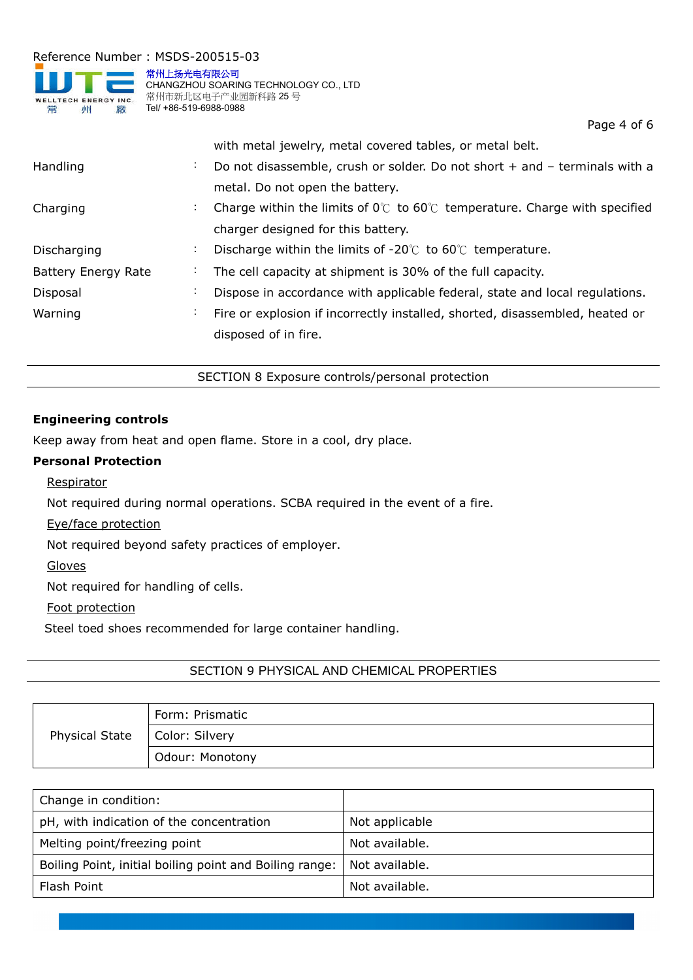

常州上扬光电有限公司 CHANGZHOU SOARING TECHNOLOGY CO., LTD 常州市新北区电子产业园新科路 25 号 Tel/ +86-519-6988-0988

Page 4 of 6

|                            |                             | with metal jewelry, metal covered tables, or metal belt.                                   |
|----------------------------|-----------------------------|--------------------------------------------------------------------------------------------|
| Handling                   | $\mathcal{L}^{\mathcal{L}}$ | Do not disassemble, crush or solder. Do not short + and - terminals with a                 |
|                            |                             | metal. Do not open the battery.                                                            |
| Charging                   | $\ddot{\phantom{0}}$        | Charge within the limits of $0^{\circ}$ to $60^{\circ}$ temperature. Charge with specified |
|                            |                             | charger designed for this battery.                                                         |
| Discharging                | $\ddot{\phantom{0}}$        | Discharge within the limits of $-20^{\circ}$ to 60 $^{\circ}$ temperature.                 |
| <b>Battery Energy Rate</b> | ÷,                          | The cell capacity at shipment is 30% of the full capacity.                                 |
| Disposal                   | $\bullet$                   | Dispose in accordance with applicable federal, state and local regulations.                |
| Warning                    | $\ddot{\phantom{0}}$        | Fire or explosion if incorrectly installed, shorted, disassembled, heated or               |
|                            |                             | disposed of in fire.                                                                       |
|                            |                             |                                                                                            |

SECTION 8 Exposure controls/personal protection

## **Engineering controls**

Keep away from heat and open flame. Store in a cool, dry place.

## **Personal Protection**

Respirator

Not required during normal operations. SCBA required in the event of a fire.

Eye/face protection

Not required beyond safety practices of employer.

Gloves

Not required for handling of cells.

Foot protection

Steel toed shoes recommended for large container handling.

# SECTION 9 PHYSICAL AND CHEMICAL PROPERTIES

|                       | Form: Prismatic |
|-----------------------|-----------------|
| <b>Physical State</b> | Color: Silvery  |
|                       | Odour: Monotony |

| Change in condition:                                    |                |
|---------------------------------------------------------|----------------|
| pH, with indication of the concentration                | Not applicable |
| Melting point/freezing point                            | Not available. |
| Boiling Point, initial boiling point and Boiling range: | Not available. |
| Flash Point                                             | Not available. |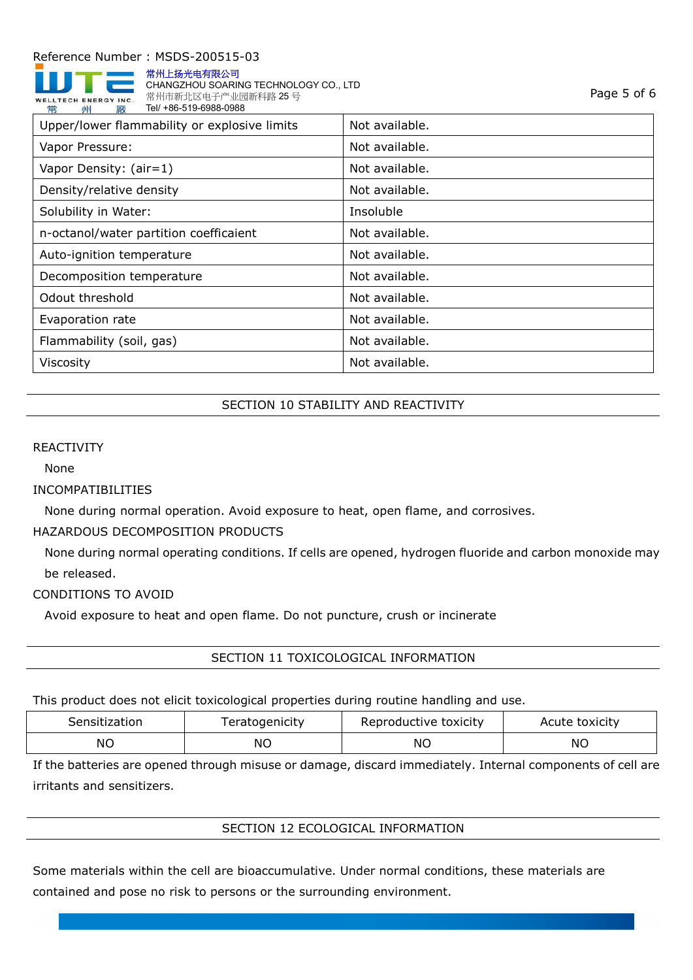

常州上扬光电有限公司 CHANGZHOU SOARING TECHNOLOGY CO., LTD 常州市新北区电子产业园新科路 25 号 Tel/ +86-519-6988-0988

| Upper/lower flammability or explosive limits | Not available. |
|----------------------------------------------|----------------|
| Vapor Pressure:                              | Not available. |
| Vapor Density: (air=1)                       | Not available. |
| Density/relative density                     | Not available. |
| Solubility in Water:                         | Insoluble      |
| n-octanol/water partition coefficaient       | Not available. |
| Auto-ignition temperature                    | Not available. |
| Decomposition temperature                    | Not available. |
| Odout threshold                              | Not available. |
| Evaporation rate                             | Not available. |
| Flammability (soil, gas)                     | Not available. |
| Viscosity                                    | Not available. |

# SECTION 10 STABILITY AND REACTIVITY

#### REACTIVITY

None

#### INCOMPATIBILITIES

None during normal operation. Avoid exposure to heat, open flame, and corrosives.

#### HAZARDOUS DECOMPOSITION PRODUCTS

None during normal operating conditions. If cells are opened, hydrogen fluoride and carbon monoxide may be released.

### CONDITIONS TO AVOID

Avoid exposure to heat and open flame. Do not puncture, crush or incinerate

SECTION 11 TOXICOLOGICAL INFORMATION

This product does not elicit toxicological properties during routine handling and use.

| Sensitization | eratogenicity | Reproductive toxicity | Acute toxicity |
|---------------|---------------|-----------------------|----------------|
| <b>NO</b>     | ΝO            | ΝC                    | ΝO             |

If the batteries are opened through misuse or damage, discard immediately. Internal components of cell are irritants and sensitizers.

## SECTION 12 ECOLOGICAL INFORMATION

Some materials within the cell are bioaccumulative. Under normal conditions, these materials are contained and pose no risk to persons or the surrounding environment.